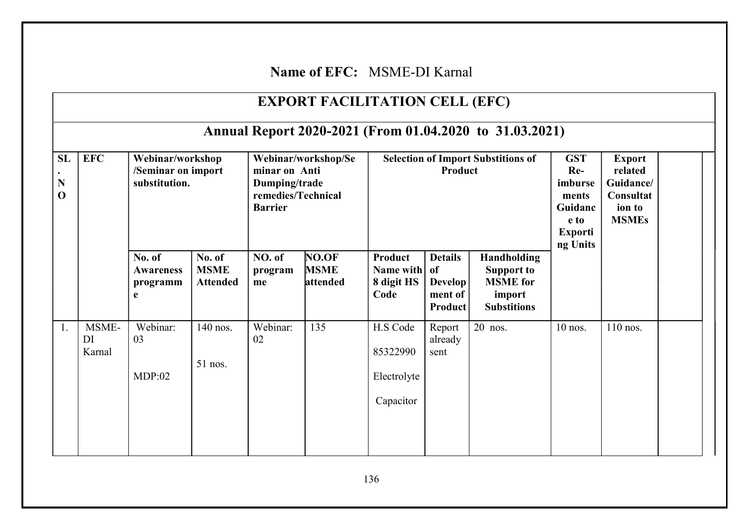## Name of EFC: MSME-DI Karnal

|                        |                       |                                                         |                                          |                                                                                               | <b>EXPORT FACILITATION CELL (EFC)</b> |                                                      |                                                                     |                                                                                     |                                                                                          |                                                                              |  |
|------------------------|-----------------------|---------------------------------------------------------|------------------------------------------|-----------------------------------------------------------------------------------------------|---------------------------------------|------------------------------------------------------|---------------------------------------------------------------------|-------------------------------------------------------------------------------------|------------------------------------------------------------------------------------------|------------------------------------------------------------------------------|--|
|                        |                       |                                                         |                                          |                                                                                               |                                       |                                                      |                                                                     | Annual Report 2020-2021 (From 01.04.2020 to 31.03.2021)                             |                                                                                          |                                                                              |  |
| SL<br>N<br>$\mathbf 0$ | <b>EFC</b>            | Webinar/workshop<br>/Seminar on import<br>substitution. |                                          | Webinar/workshop/Se<br>minar on Anti<br>Dumping/trade<br>remedies/Technical<br><b>Barrier</b> |                                       | <b>Selection of Import Substitions of</b><br>Product |                                                                     |                                                                                     | <b>GST</b><br>$Re-$<br>imburse<br>ments<br>Guidanc<br>e to<br><b>Exporti</b><br>ng Units | <b>Export</b><br>related<br>Guidance/<br>Consultat<br>ion to<br><b>MSMEs</b> |  |
|                        |                       | No. of<br><b>Awareness</b><br>programm<br>e             | No. of<br><b>MSME</b><br><b>Attended</b> | NO. of<br>program<br>me                                                                       | NO.OF<br><b>MSME</b><br>attended      | Product<br>Name with<br>8 digit HS<br>Code           | <b>Details</b><br>of<br><b>Develop</b><br>ment of<br><b>Product</b> | Handholding<br><b>Support to</b><br><b>MSME</b> for<br>import<br><b>Substitions</b> |                                                                                          |                                                                              |  |
| 1.                     | MSME-<br>DI<br>Karnal | Webinar:<br>03<br>MDP:02                                | 140 nos.<br>51 nos.                      | Webinar:<br>02                                                                                | 135                                   | H.S Code<br>85322990<br>Electrolyte<br>Capacitor     | Report<br>already<br>sent                                           | 20 nos.                                                                             | 10 nos.                                                                                  | $\overline{110}$ nos.                                                        |  |